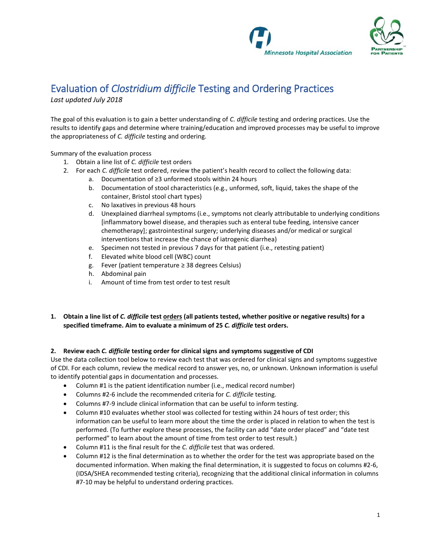



# Evaluationof *Clostridium difficile* Testing and Ordering Practices *Last updated July 2018*

The goal of this evaluation is to gain a better understanding of *C. difficile* testing and ordering practices. Use the results to identify gaps and determine where training/education and improved processes may be useful to improve the appropriateness of *C. difficile* testing and ordering.

Summary of the evaluation process

- 1. Obtain a line list of *C. difficile* test orders
- 2. For each *C. difficile* test ordered, review the patient's health record to collect the following data:
	- a. Documentation of ≥3 unformed stools within 24 hours
		- b. Documentation of stool characteristics (e.g., unformed, soft, liquid, takes the shape of the container, Bristol stool chart types)
		- c. No laxatives in previous 48 hours
		- d. Unexplained diarrheal symptoms (i.e., symptoms not clearly attributable to underlying conditions [inflammatory bowel disease, and therapies such as enteral tube feeding, intensive cancer chemotherapy]; gastrointestinal surgery; underlying diseases and/or medical or surgical interventions that increase the chance of iatrogenic diarrhea)
		- e. Specimen not tested in previous 7 days for that patient (i.e., retesting patient)
		- f. Elevated white blood cell (WBC) count
		- g. Fever (patient temperature ≥ 38 degrees Celsius)
		- h. Abdominal pain
		- i. Amount of time from test order to test result

## **1. Obtain a line list of** *C. difficile* **test orders (all patients tested, whether positive or negative results) for a specified timeframe. Aim to evaluate a minimum of 25** *C. difficile* **test orders.**

## **2. Review each** *C. difficile* **testing order for clinical signs and symptoms suggestive of CDI**

Use the data collection tool below to review each test that was ordered for clinical signs and symptoms suggestive of CDI. For each column, review the medical record to answer yes, no, or unknown. Unknown information is useful to identify potential gaps in documentation and processes.

- Column #1 is the patient identification number (i.e., medical record number)
- Columns #2-6 include the recommended criteria for *C. difficile* testing.
- Columns #7-9 include clinical information that can be useful to inform testing.
- Column #10 evaluates whether stool was collected for testing within 24 hours of test order; this information can be useful to learn more about the time the order is placed in relation to when the test is performed. (To further explore these processes, the facility can add "date order placed" and "date test performed" to learn about the amount of time from test order to test result.)
- Column #11 is the final result for the *C. difficile* test that was ordered.
- Column #12 is the final determination as to whether the order for the test was appropriate based on the documented information. When making the final determination, it is suggested to focus on columns #2-6, (IDSA/SHEA recommended testing criteria), recognizing that the additional clinical information in columns #7-10 may be helpful to understand ordering practices.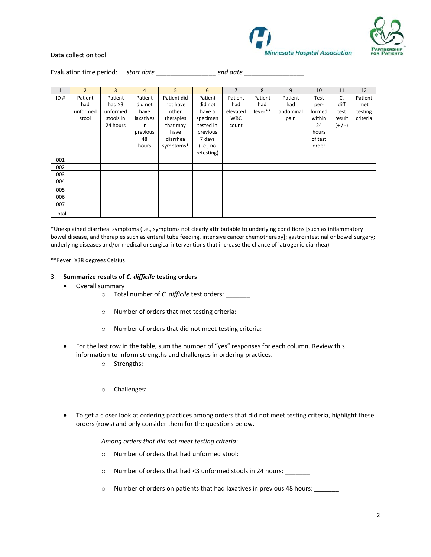



#### Data collection tool

Evaluation time period: *start date* \_\_\_\_\_\_\_\_\_\_\_\_\_\_\_\_\_ *end date* \_\_\_\_\_\_\_\_\_\_\_\_\_\_\_\_\_

| $\mathbf{1}$ | $\overline{2}$ | 3            | $\overline{4}$ | 5           | 6          | $\overline{7}$ | 8       | 9         | 10      | 11        | 12       |
|--------------|----------------|--------------|----------------|-------------|------------|----------------|---------|-----------|---------|-----------|----------|
| ID#          | Patient        | Patient      | Patient        | Patient did | Patient    | Patient        | Patient | Patient   | Test    | C.        | Patient  |
|              |                |              |                |             |            |                |         |           |         |           |          |
|              | had            | had $\geq$ 3 | did not        | not have    | did not    | had            | had     | had       | per-    | diff      | met      |
|              | unformed       | unformed     | have           | other       | have a     | elevated       | fever** | abdominal | formed  | test      | testing  |
|              | stool          | stools in    | laxatives      | therapies   | specimen   | <b>WBC</b>     |         | pain      | within  | result    | criteria |
|              |                | 24 hours     | in             | that may    | tested in  | count          |         |           | 24      | $(+ / -)$ |          |
|              |                |              | previous       | have        | previous   |                |         |           | hours   |           |          |
|              |                |              | 48             | diarrhea    | 7 days     |                |         |           | of test |           |          |
|              |                |              | hours          | symptoms*   | (i.e., no  |                |         |           | order   |           |          |
|              |                |              |                |             | retesting) |                |         |           |         |           |          |
| 001          |                |              |                |             |            |                |         |           |         |           |          |
| 002          |                |              |                |             |            |                |         |           |         |           |          |
| 003          |                |              |                |             |            |                |         |           |         |           |          |
| 004          |                |              |                |             |            |                |         |           |         |           |          |
| 005          |                |              |                |             |            |                |         |           |         |           |          |
| 006          |                |              |                |             |            |                |         |           |         |           |          |
| 007          |                |              |                |             |            |                |         |           |         |           |          |
| Total        |                |              |                |             |            |                |         |           |         |           |          |

\*Unexplained diarrheal symptoms (i.e., symptoms not clearly attributable to underlying conditions [such as inflammatory bowel disease, and therapies such as enteral tube feeding, intensive cancer chemotherapy]; gastrointestinal or bowel surgery; underlying diseases and/or medical or surgical interventions that increase the chance of iatrogenic diarrhea)

\*\*Fever: ≥38 degrees Celsius

### 3. **Summarize results of** *C. difficile* **testing orders**

- Overall summary
	- o Total number of *C. difficile* test orders: \_\_\_\_\_\_\_
	- o Number of orders that met testing criteria: \_\_\_\_\_\_\_
	- o Number of orders that did not meet testing criteria: \_\_\_\_\_\_\_
- For the last row in the table, sum the number of "yes" responses for each column. Review this information to inform strengths and challenges in ordering practices.
	- o Strengths:
	- o Challenges:
- To get a closer look at ordering practices among orders that did not meet testing criteria, highlight these orders (rows) and only consider them for the questions below.

*Among orders that did not meet testing criteria*:

- o Number of orders that had unformed stool: \_\_\_\_\_\_\_
- o Number of orders that had <3 unformed stools in 24 hours: \_\_\_\_\_\_\_
- o Number of orders on patients that had laxatives in previous 48 hours: \_\_\_\_\_\_\_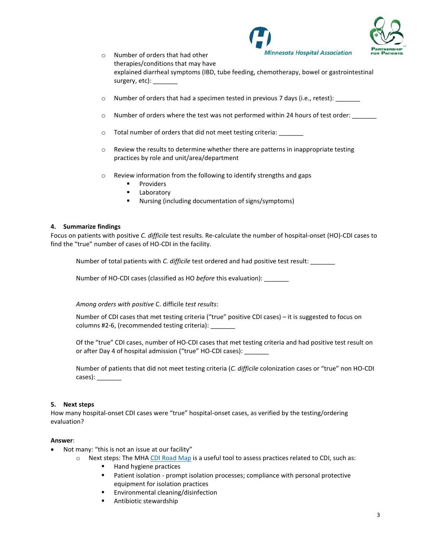



- o Number of orders that had other therapies/conditions that may have explained diarrheal symptoms (IBD, tube feeding, chemotherapy, bowel or gastrointestinal surgery, etc): \_
- $\circ$  Number of orders that had a specimen tested in previous 7 days (i.e., retest):
- o Number of orders where the test was not performed within 24 hours of test order: \_\_\_\_\_\_
- o Total number of orders that did not meet testing criteria: \_\_\_\_\_
- $\circ$  Review the results to determine whether there are patterns in inappropriate testing practices by role and unit/area/department
- o Review information from the following to identify strengths and gaps
	- Providers
	- Laboratory
	- Nursing (including documentation of signs/symptoms)

### **4. Summarize findings**

Focus on patients with positive *C. difficile* test results. Re-calculate the number of hospital-onset (HO)-CDI cases to find the "true" number of cases of HO-CDI in the facility.

Number of total patients with *C. difficile* test ordered and had positive test result: \_\_\_\_\_\_\_

Number of HO-CDI cases (classified as HO *before* this evaluation): \_\_\_\_\_\_\_

*Among orders with positive* C. difficile *test results*:

Number of CDI cases that met testing criteria ("true" positive CDI cases) – it is suggested to focus on columns #2-6, (recommended testing criteria): \_\_\_\_\_\_\_

Of the "true" CDI cases, number of HO-CDI cases that met testing criteria and had positive test result on or after Day 4 of hospital admission ("true" HO-CDI cases):

Number of patients that did not meet testing criteria (*C. difficile* colonization cases or "true" non HO-CDI cases): \_\_\_\_\_\_\_

### **5. Next steps**

How many hospital-onset CDI cases were "true" hospital-onset cases, as verified by the testing/ordering evaluation?

### **Answer**:

- Not many: "this is not an issue at our facility"
	- $\circ$  Next steps: The MHA [CDI Road Map](https://www.mnhospitals.org/Portals/0/Documents/patientsafety/Clostridium%20Difficile/CDI%20Road%20Map.pdf) is a useful tool to assess practices related to CDI, such as:
		- Hand hygiene practices
		- Patient isolation prompt isolation processes; compliance with personal protective equipment for isolation practices
		- Environmental cleaning/disinfection
		- Antibiotic stewardship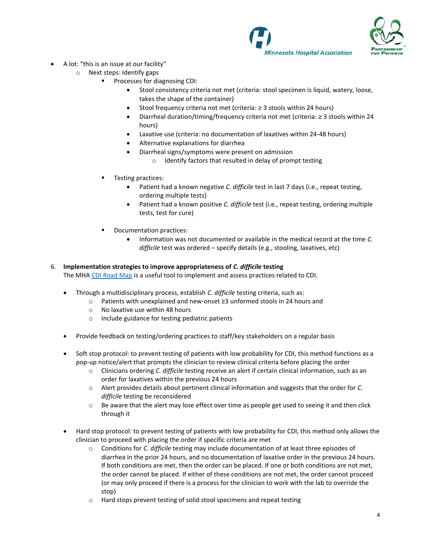



- A lot: "this is an issue at our facility"
	- o Next steps: Identify gaps
		- Processes for diagnosing CDI:
			- Stool consistency criteria not met (criteria: stool specimen is liquid, watery, loose, takes the shape of the container)
			- Stool frequency criteria not met (criteria:  $\geq$  3 stools within 24 hours)
			- Diarrheal duration/timing/frequency criteria not met (criteria: ≥ 3 stools within 24 hours)
			- Laxative use (criteria: no documentation of laxatives within 24-48 hours)
			- Alternative explanations for diarrhea
			- Diarrheal signs/symptoms were present on admission
				- o Identify factors that resulted in delay of prompt testing
		- Testing practices:
			- Patient had a known negative *C. difficile* test in last 7 days (i.e., repeat testing, ordering multiple tests)
			- Patient had a known positive *C. difficile* test (i.e., repeat testing, ordering multiple tests, test for cure)
		- Documentation practices:
			- Information was not documented or available in the medical record at the time *C. difficile* test was ordered – specify details (e.g., stooling, laxatives, etc)

## 6. **Implementation strategies to improve appropriateness of** *C. difficile* **testing**  The MHA [CDI Road Map](https://www.mnhospitals.org/Portals/0/Documents/patientsafety/Clostridium%20Difficile/CDI%20Road%20Map.pdf) is a useful tool to implement and assess practices related to CDI.

- Through a multidisciplinary process, establish *C. difficile* testing criteria, such as:
	- o Patients with unexplained and new-onset ≥3 unformed stools in 24 hours and
	- o No laxative use within 48 hours
	- o Include guidance for testing pediatric patients
- Provide feedback on testing/ordering practices to staff/key stakeholders on a regular basis
- Soft stop protocol: to prevent testing of patients with low probability for CDI, this method functions as a pop-up notice/alert that prompts the clinician to review clinical criteria before placing the order
	- o Clinicians ordering *C. difficile* testing receive an alert if certain clinical information, such as an order for laxatives within the previous 24 hours
	- o Alert provides details about pertinent clinical information and suggests that the order for *C. difficile* testing be reconsidered
	- $\circ$  Be aware that the alert may lose effect over time as people get used to seeing it and then click through it
- Hard stop protocol: to prevent testing of patients with low probability for CDI, this method only allows the clinician to proceed with placing the order if specific criteria are met
	- o Conditions for *C. difficile* testing may include documentation of at least three episodes of diarrhea in the prior 24 hours, and no documentation of laxative order in the previous 24 hours. If both conditions are met, then the order can be placed. If one or both conditions are not met, the order cannot be placed. If either of these conditions are not met, the order cannot proceed (or may only proceed if there is a process for the clinician to work with the lab to override the stop)
	- o Hard stops prevent testing of solid stool specimens and repeat testing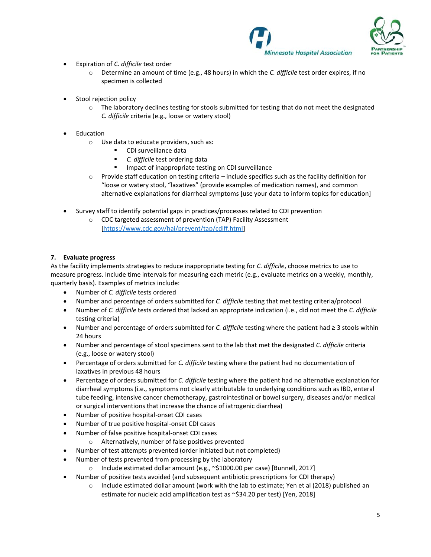



- Expiration of *C. difficile* test order
	- o Determine an amount of time (e.g., 48 hours) in which the *C. difficile* test order expires, if no specimen is collected
- Stool rejection policy
	- $\circ$  The laboratory declines testing for stools submitted for testing that do not meet the designated *C. difficile* criteria (e.g., loose or watery stool)
- **Education** 
	- o Use data to educate providers, such as:
		- CDI surveillance data
		- C. difficile test ordering data
		- Impact of inappropriate testing on CDI surveillance
	- $\circ$  Provide staff education on testing criteria include specifics such as the facility definition for "loose or watery stool, "laxatives" (provide examples of medication names), and common alternative explanations for diarrheal symptoms [use your data to inform topics for education]
- Survey staff to identify potential gaps in practices/processes related to CDI prevention
	- o CDC targeted assessment of prevention (TAP) Facility Assessment [\[https://www.cdc.gov/hai/prevent/tap/cdiff.html\]](https://www.cdc.gov/hai/prevent/tap/cdiff.html)

## **7. Evaluate progress**

As the facility implements strategies to reduce inappropriate testing for *C. difficile*, choose metrics to use to measure progress. Include time intervals for measuring each metric (e.g., evaluate metrics on a weekly, monthly, quarterly basis). Examples of metrics include:

- Number of *C. difficile* tests ordered
- Number and percentage of orders submitted for *C. difficile* testing that met testing criteria/protocol
- Number of *C. difficile* tests ordered that lacked an appropriate indication (i.e., did not meet the *C. difficile* testing criteria)
- Number and percentage of orders submitted for *C. difficile* testing where the patient had ≥ 3 stools within 24 hours
- Number and percentage of stool specimens sent to the lab that met the designated *C. difficile* criteria (e.g., loose or watery stool)
- Percentage of orders submitted for *C. difficile* testing where the patient had no documentation of laxatives in previous 48 hours
- Percentage of orders submitted for *C. difficile* testing where the patient had no alternative explanation for diarrheal symptoms (i.e., symptoms not clearly attributable to underlying conditions such as IBD, enteral tube feeding, intensive cancer chemotherapy, gastrointestinal or bowel surgery, diseases and/or medical or surgical interventions that increase the chance of iatrogenic diarrhea)
- Number of positive hospital-onset CDI cases
- Number of true positive hospital-onset CDI cases
- Number of false positive hospital-onset CDI cases
	- o Alternatively, number of false positives prevented
	- Number of test attempts prevented (order initiated but not completed)
- Number of tests prevented from processing by the laboratory
	- o Include estimated dollar amount (e.g., ~\$1000.00 per case) [Bunnell, 2017]
- Number of positive tests avoided (and subsequent antibiotic prescriptions for CDI therapy)
	- $\circ$  Include estimated dollar amount (work with the lab to estimate; Yen et al (2018) published an estimate for nucleic acid amplification test as ~\$34.20 per test) [Yen, 2018]